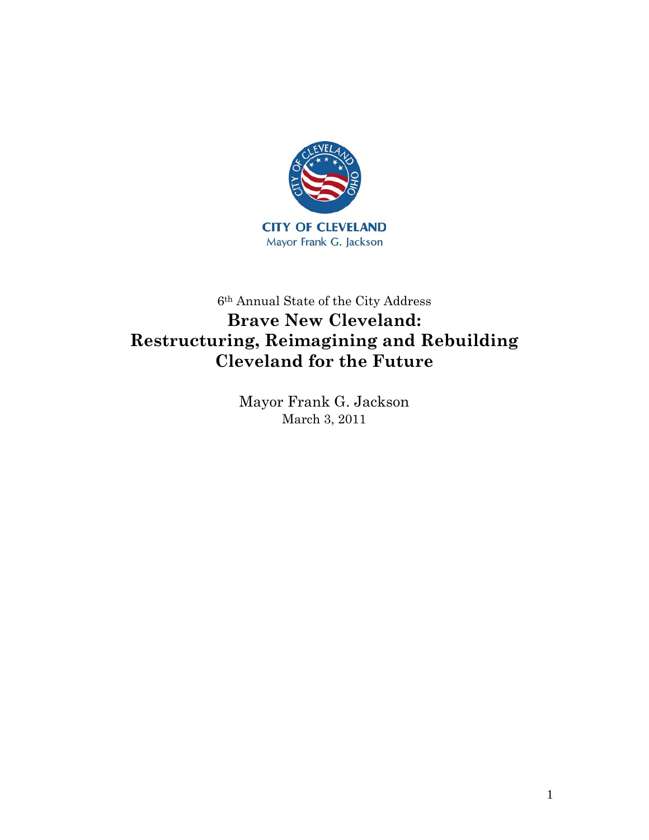

# 6th Annual State of the City Address **Brave New Cleveland: Restructuring, Reimagining and Rebuilding Cleveland for the Future**

Mayor Frank G. Jackson March 3, 2011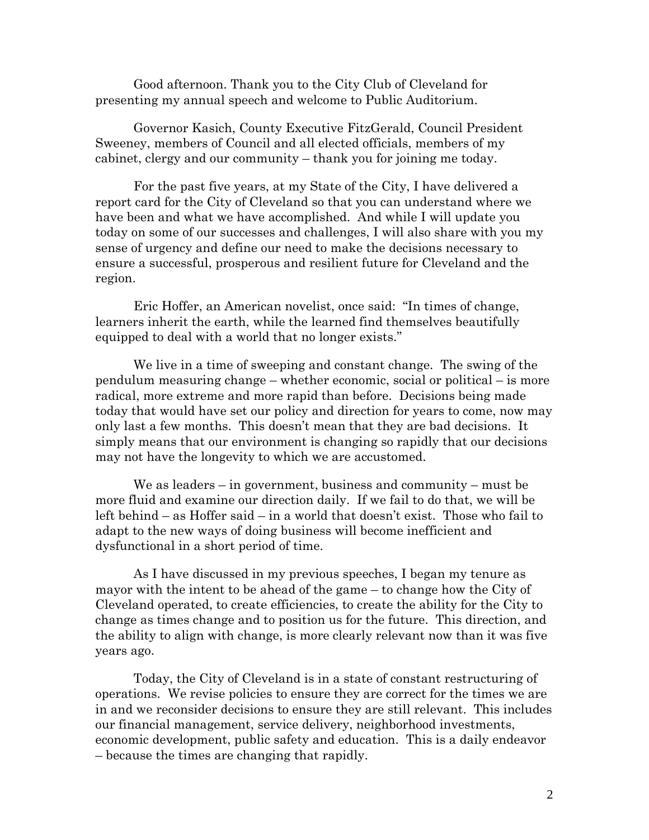Good afternoon. Thank you to the City Club of Cleveland for presenting my annual speech and welcome to Public Auditorium.

Governor Kasich, County Executive FitzGerald, Council President Sweeney, members of Council and all elected officials, members of my cabinet, clergy and our community – thank you for joining me today.

For the past five years, at my State of the City, I have delivered a report card for the City of Cleveland so that you can understand where we have been and what we have accomplished. And while I will update you today on some of our successes and challenges, I will also share with you my sense of urgency and define our need to make the decisions necessary to ensure a successful, prosperous and resilient future for Cleveland and the region.

Eric Hoffer, an American novelist, once said: "In times of change, learners inherit the earth, while the learned find themselves beautifully equipped to deal with a world that no longer exists."

We live in a time of sweeping and constant change. The swing of the pendulum measuring change – whether economic, social or political – is more radical, more extreme and more rapid than before. Decisions being made today that would have set our policy and direction for years to come, now may only last a few months. This doesn't mean that they are bad decisions. It simply means that our environment is changing so rapidly that our decisions may not have the longevity to which we are accustomed.

We as leaders – in government, business and community – must be more fluid and examine our direction daily. If we fail to do that, we will be left behind – as Hoffer said – in a world that doesn't exist. Those who fail to adapt to the new ways of doing business will become inefficient and dysfunctional in a short period of time.

As I have discussed in my previous speeches, I began my tenure as mayor with the intent to be ahead of the game – to change how the City of Cleveland operated, to create efficiencies, to create the ability for the City to change as times change and to position us for the future. This direction, and the ability to align with change, is more clearly relevant now than it was five years ago.

Today, the City of Cleveland is in a state of constant restructuring of operations. We revise policies to ensure they are correct for the times we are in and we reconsider decisions to ensure they are still relevant. This includes our financial management, service delivery, neighborhood investments, economic development, public safety and education. This is a daily endeavor – because the times are changing that rapidly.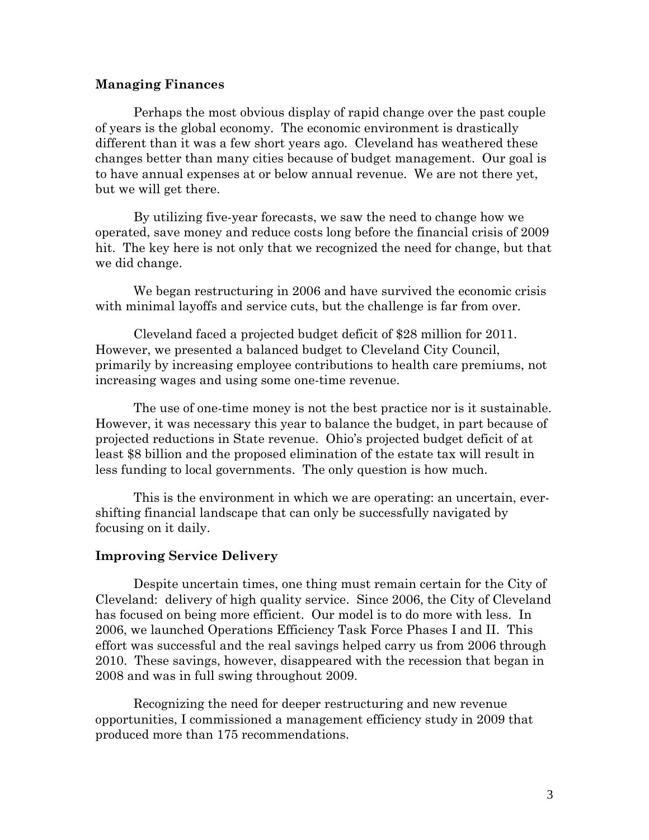#### **Managing Finances**

Perhaps the most obvious display of rapid change over the past couple of years is the global economy. The economic environment is drastically different than it was a few short years ago. Cleveland has weathered these changes better than many cities because of budget management. Our goal is to have annual expenses at or below annual revenue. We are not there yet, but we will get there.

By utilizing five-year forecasts, we saw the need to change how we operated, save money and reduce costs long before the financial crisis of 2009 hit. The key here is not only that we recognized the need for change, but that we did change.

We began restructuring in 2006 and have survived the economic crisis with minimal layoffs and service cuts, but the challenge is far from over.

Cleveland faced a projected budget deficit of \$28 million for 2011. However, we presented a balanced budget to Cleveland City Council, primarily by increasing employee contributions to health care premiums, not increasing wages and using some one-time revenue.

The use of one-time money is not the best practice nor is it sustainable. However, it was necessary this year to balance the budget, in part because of projected reductions in State revenue. Ohio's projected budget deficit of at least \$8 billion and the proposed elimination of the estate tax will result in less funding to local governments. The only question is how much.

This is the environment in which we are operating: an uncertain, evershifting financial landscape that can only be successfully navigated by focusing on it daily.

## **Improving Service Delivery**

Despite uncertain times, one thing must remain certain for the City of Cleveland: delivery of high quality service. Since 2006, the City of Cleveland has focused on being more efficient. Our model is to do more with less. In 2006, we launched Operations Efficiency Task Force Phases I and II. This effort was successful and the real savings helped carry us from 2006 through 2010. These savings, however, disappeared with the recession that began in 2008 and was in full swing throughout 2009.

Recognizing the need for deeper restructuring and new revenue opportunities, I commissioned a management efficiency study in 2009 that produced more than 175 recommendations.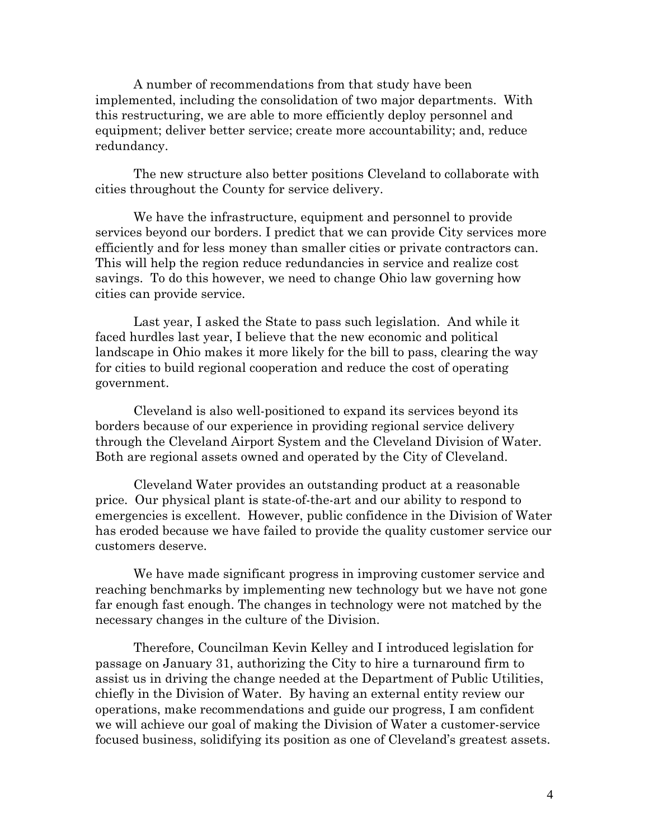A number of recommendations from that study have been implemented, including the consolidation of two major departments. With this restructuring, we are able to more efficiently deploy personnel and equipment; deliver better service; create more accountability; and, reduce redundancy.

The new structure also better positions Cleveland to collaborate with cities throughout the County for service delivery.

We have the infrastructure, equipment and personnel to provide services beyond our borders. I predict that we can provide City services more efficiently and for less money than smaller cities or private contractors can. This will help the region reduce redundancies in service and realize cost savings. To do this however, we need to change Ohio law governing how cities can provide service.

Last year, I asked the State to pass such legislation. And while it faced hurdles last year, I believe that the new economic and political landscape in Ohio makes it more likely for the bill to pass, clearing the way for cities to build regional cooperation and reduce the cost of operating government.

Cleveland is also well-positioned to expand its services beyond its borders because of our experience in providing regional service delivery through the Cleveland Airport System and the Cleveland Division of Water. Both are regional assets owned and operated by the City of Cleveland.

Cleveland Water provides an outstanding product at a reasonable price. Our physical plant is state-of-the-art and our ability to respond to emergencies is excellent. However, public confidence in the Division of Water has eroded because we have failed to provide the quality customer service our customers deserve.

We have made significant progress in improving customer service and reaching benchmarks by implementing new technology but we have not gone far enough fast enough. The changes in technology were not matched by the necessary changes in the culture of the Division.

Therefore, Councilman Kevin Kelley and I introduced legislation for passage on January 31, authorizing the City to hire a turnaround firm to assist us in driving the change needed at the Department of Public Utilities, chiefly in the Division of Water. By having an external entity review our operations, make recommendations and guide our progress, I am confident we will achieve our goal of making the Division of Water a customer-service focused business, solidifying its position as one of Cleveland's greatest assets.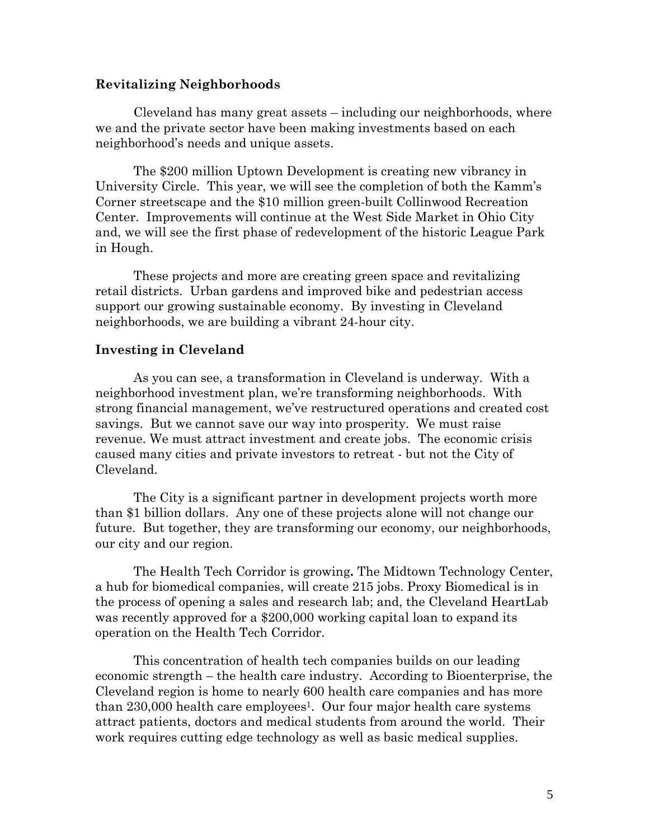### **Revitalizing Neighborhoods**

Cleveland has many great assets – including our neighborhoods, where we and the private sector have been making investments based on each neighborhood's needs and unique assets.

The \$200 million Uptown Development is creating new vibrancy in University Circle. This year, we will see the completion of both the Kamm's Corner streetscape and the \$10 million green-built Collinwood Recreation Center. Improvements will continue at the West Side Market in Ohio City and, we will see the first phase of redevelopment of the historic League Park in Hough.

These projects and more are creating green space and revitalizing retail districts. Urban gardens and improved bike and pedestrian access support our growing sustainable economy. By investing in Cleveland neighborhoods, we are building a vibrant 24-hour city.

#### **Investing in Cleveland**

As you can see, a transformation in Cleveland is underway. With a neighborhood investment plan, we're transforming neighborhoods. With strong financial management, we've restructured operations and created cost savings. But we cannot save our way into prosperity. We must raise revenue. We must attract investment and create jobs. The economic crisis caused many cities and private investors to retreat - but not the City of Cleveland.

The City is a significant partner in development projects worth more than \$1 billion dollars. Any one of these projects alone will not change our future. But together, they are transforming our economy, our neighborhoods, our city and our region.

The Health Tech Corridor is growing**.** The Midtown Technology Center, a hub for biomedical companies, will create 215 jobs. Proxy Biomedical is in the process of opening a sales and research lab; and, the Cleveland HeartLab was recently approved for a \$200,000 working capital loan to expand its operation on the Health Tech Corridor.

This concentration of health tech companies builds on our leading economic strength – the health care industry. According to Bioenterprise, the Cleveland region is home to nearly 600 health care companies and has more than  $230,000$  health care employees<sup>1</sup>. Our four major health care systems attract patients, doctors and medical students from around the world. Their work requires cutting edge technology as well as basic medical supplies.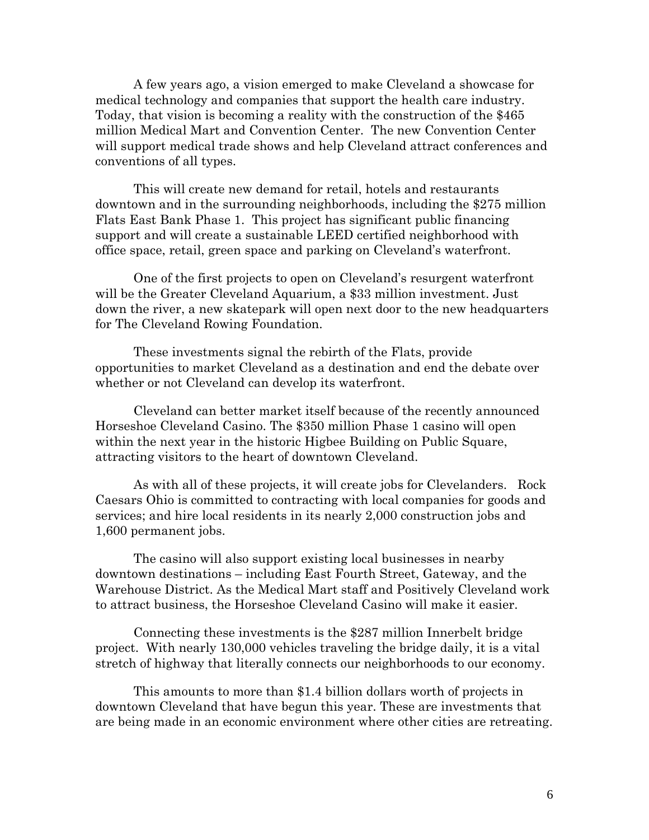A few years ago, a vision emerged to make Cleveland a showcase for medical technology and companies that support the health care industry. Today, that vision is becoming a reality with the construction of the \$465 million Medical Mart and Convention Center. The new Convention Center will support medical trade shows and help Cleveland attract conferences and conventions of all types.

This will create new demand for retail, hotels and restaurants downtown and in the surrounding neighborhoods, including the \$275 million Flats East Bank Phase 1. This project has significant public financing support and will create a sustainable LEED certified neighborhood with office space, retail, green space and parking on Cleveland's waterfront.

One of the first projects to open on Cleveland's resurgent waterfront will be the Greater Cleveland Aquarium, a \$33 million investment. Just down the river, a new skatepark will open next door to the new headquarters for The Cleveland Rowing Foundation.

These investments signal the rebirth of the Flats, provide opportunities to market Cleveland as a destination and end the debate over whether or not Cleveland can develop its waterfront.

Cleveland can better market itself because of the recently announced Horseshoe Cleveland Casino. The \$350 million Phase 1 casino will open within the next year in the historic Higbee Building on Public Square, attracting visitors to the heart of downtown Cleveland.

As with all of these projects, it will create jobs for Clevelanders. Rock Caesars Ohio is committed to contracting with local companies for goods and services; and hire local residents in its nearly 2,000 construction jobs and 1,600 permanent jobs.

The casino will also support existing local businesses in nearby downtown destinations – including East Fourth Street, Gateway, and the Warehouse District. As the Medical Mart staff and Positively Cleveland work to attract business, the Horseshoe Cleveland Casino will make it easier.

Connecting these investments is the \$287 million Innerbelt bridge project. With nearly 130,000 vehicles traveling the bridge daily, it is a vital stretch of highway that literally connects our neighborhoods to our economy.

This amounts to more than \$1.4 billion dollars worth of projects in downtown Cleveland that have begun this year. These are investments that are being made in an economic environment where other cities are retreating.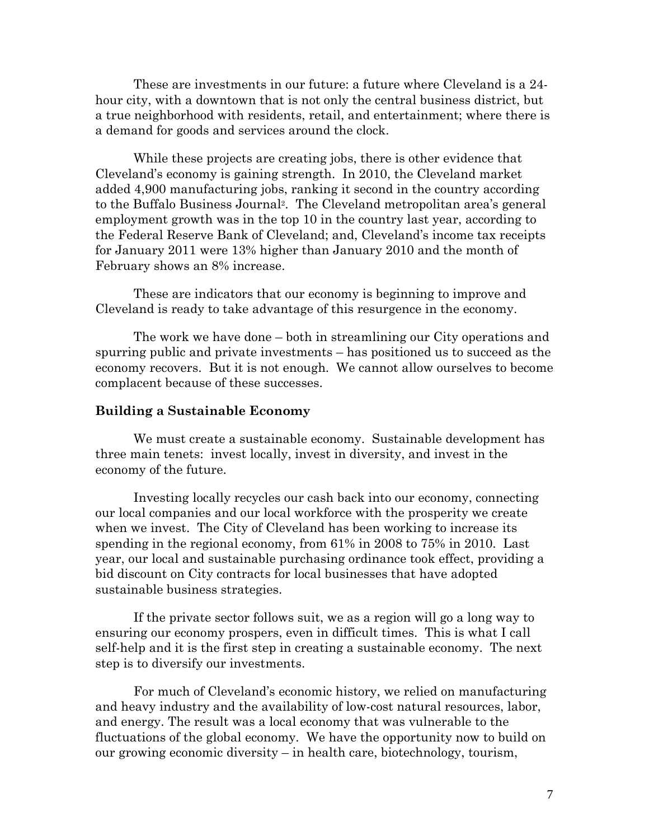These are investments in our future: a future where Cleveland is a 24 hour city, with a downtown that is not only the central business district, but a true neighborhood with residents, retail, and entertainment; where there is a demand for goods and services around the clock.

While these projects are creating jobs, there is other evidence that Cleveland's economy is gaining strength. In 2010, the Cleveland market added 4,900 manufacturing jobs, ranking it second in the country according to the Buffalo Business Journal2. The Cleveland metropolitan area's general employment growth was in the top 10 in the country last year, according to the Federal Reserve Bank of Cleveland; and, Cleveland's income tax receipts for January 2011 were 13% higher than January 2010 and the month of February shows an 8% increase.

These are indicators that our economy is beginning to improve and Cleveland is ready to take advantage of this resurgence in the economy.

The work we have done – both in streamlining our City operations and spurring public and private investments – has positioned us to succeed as the economy recovers. But it is not enough. We cannot allow ourselves to become complacent because of these successes.

#### **Building a Sustainable Economy**

We must create a sustainable economy. Sustainable development has three main tenets: invest locally, invest in diversity, and invest in the economy of the future.

Investing locally recycles our cash back into our economy, connecting our local companies and our local workforce with the prosperity we create when we invest. The City of Cleveland has been working to increase its spending in the regional economy, from 61% in 2008 to 75% in 2010. Last year, our local and sustainable purchasing ordinance took effect, providing a bid discount on City contracts for local businesses that have adopted sustainable business strategies.

If the private sector follows suit, we as a region will go a long way to ensuring our economy prospers, even in difficult times. This is what I call self-help and it is the first step in creating a sustainable economy. The next step is to diversify our investments.

For much of Cleveland's economic history, we relied on manufacturing and heavy industry and the availability of low-cost natural resources, labor, and energy. The result was a local economy that was vulnerable to the fluctuations of the global economy. We have the opportunity now to build on our growing economic diversity – in health care, biotechnology, tourism,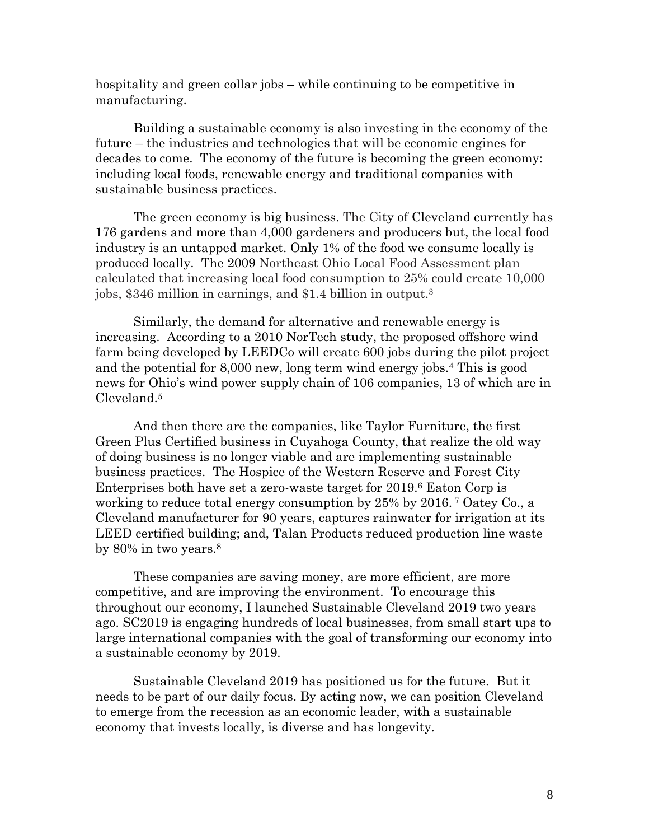hospitality and green collar jobs – while continuing to be competitive in manufacturing.

Building a sustainable economy is also investing in the economy of the future – the industries and technologies that will be economic engines for decades to come. The economy of the future is becoming the green economy: including local foods, renewable energy and traditional companies with sustainable business practices.

The green economy is big business. The City of Cleveland currently has 176 gardens and more than 4,000 gardeners and producers but, the local food industry is an untapped market. Only 1% of the food we consume locally is produced locally. The 2009 Northeast Ohio Local Food Assessment plan calculated that increasing local food consumption to 25% could create 10,000 jobs, \$346 million in earnings, and \$1.4 billion in output.3

Similarly, the demand for alternative and renewable energy is increasing. According to a 2010 NorTech study, the proposed offshore wind farm being developed by LEEDCo will create 600 jobs during the pilot project and the potential for 8,000 new, long term wind energy jobs.4 This is good news for Ohio's wind power supply chain of 106 companies, 13 of which are in Cleveland.5

And then there are the companies, like Taylor Furniture, the first Green Plus Certified business in Cuyahoga County, that realize the old way of doing business is no longer viable and are implementing sustainable business practices. The Hospice of the Western Reserve and Forest City Enterprises both have set a zero-waste target for 2019.6 Eaton Corp is working to reduce total energy consumption by 25% by 2016. 7 Oatey Co., a Cleveland manufacturer for 90 years, captures rainwater for irrigation at its LEED certified building; and, Talan Products reduced production line waste by 80% in two years.8

These companies are saving money, are more efficient, are more competitive, and are improving the environment. To encourage this throughout our economy, I launched Sustainable Cleveland 2019 two years ago. SC2019 is engaging hundreds of local businesses, from small start ups to large international companies with the goal of transforming our economy into a sustainable economy by 2019.

Sustainable Cleveland 2019 has positioned us for the future. But it needs to be part of our daily focus. By acting now, we can position Cleveland to emerge from the recession as an economic leader, with a sustainable economy that invests locally, is diverse and has longevity.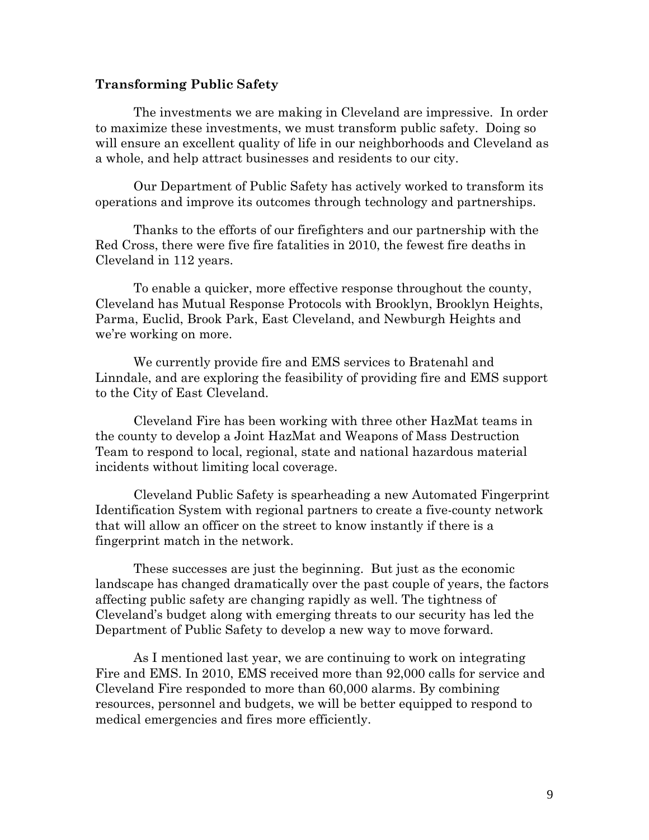#### **Transforming Public Safety**

The investments we are making in Cleveland are impressive. In order to maximize these investments, we must transform public safety. Doing so will ensure an excellent quality of life in our neighborhoods and Cleveland as a whole, and help attract businesses and residents to our city.

Our Department of Public Safety has actively worked to transform its operations and improve its outcomes through technology and partnerships.

Thanks to the efforts of our firefighters and our partnership with the Red Cross, there were five fire fatalities in 2010, the fewest fire deaths in Cleveland in 112 years.

To enable a quicker, more effective response throughout the county, Cleveland has Mutual Response Protocols with Brooklyn, Brooklyn Heights, Parma, Euclid, Brook Park, East Cleveland, and Newburgh Heights and we're working on more.

We currently provide fire and EMS services to Bratenahl and Linndale, and are exploring the feasibility of providing fire and EMS support to the City of East Cleveland.

Cleveland Fire has been working with three other HazMat teams in the county to develop a Joint HazMat and Weapons of Mass Destruction Team to respond to local, regional, state and national hazardous material incidents without limiting local coverage.

Cleveland Public Safety is spearheading a new Automated Fingerprint Identification System with regional partners to create a five-county network that will allow an officer on the street to know instantly if there is a fingerprint match in the network.

These successes are just the beginning. But just as the economic landscape has changed dramatically over the past couple of years, the factors affecting public safety are changing rapidly as well. The tightness of Cleveland's budget along with emerging threats to our security has led the Department of Public Safety to develop a new way to move forward.

As I mentioned last year, we are continuing to work on integrating Fire and EMS. In 2010, EMS received more than 92,000 calls for service and Cleveland Fire responded to more than 60,000 alarms. By combining resources, personnel and budgets, we will be better equipped to respond to medical emergencies and fires more efficiently.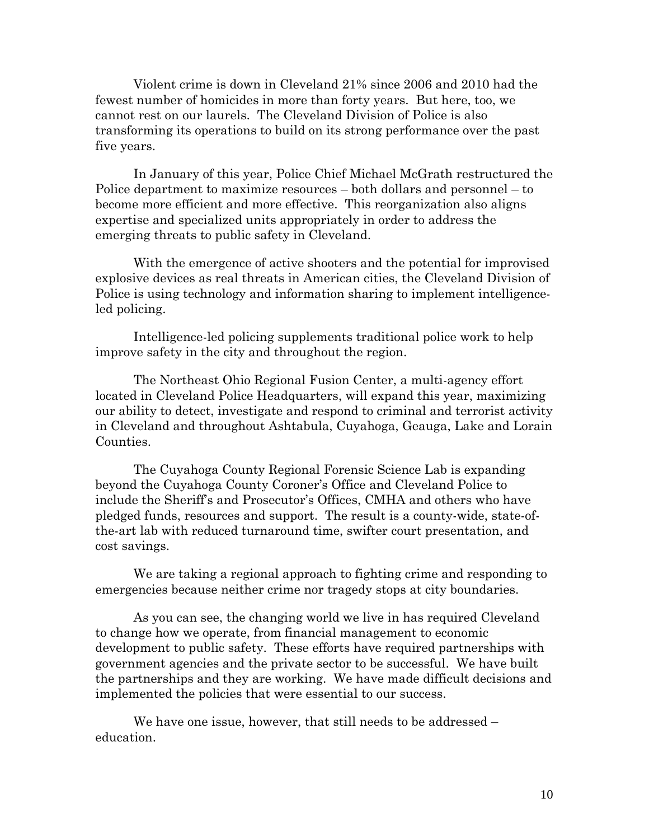Violent crime is down in Cleveland 21% since 2006 and 2010 had the fewest number of homicides in more than forty years. But here, too, we cannot rest on our laurels. The Cleveland Division of Police is also transforming its operations to build on its strong performance over the past five years.

In January of this year, Police Chief Michael McGrath restructured the Police department to maximize resources – both dollars and personnel – to become more efficient and more effective. This reorganization also aligns expertise and specialized units appropriately in order to address the emerging threats to public safety in Cleveland.

With the emergence of active shooters and the potential for improvised explosive devices as real threats in American cities, the Cleveland Division of Police is using technology and information sharing to implement intelligenceled policing.

Intelligence-led policing supplements traditional police work to help improve safety in the city and throughout the region.

The Northeast Ohio Regional Fusion Center, a multi-agency effort located in Cleveland Police Headquarters, will expand this year, maximizing our ability to detect, investigate and respond to criminal and terrorist activity in Cleveland and throughout Ashtabula, Cuyahoga, Geauga, Lake and Lorain Counties.

The Cuyahoga County Regional Forensic Science Lab is expanding beyond the Cuyahoga County Coroner's Office and Cleveland Police to include the Sheriff's and Prosecutor's Offices, CMHA and others who have pledged funds, resources and support. The result is a county-wide, state-ofthe-art lab with reduced turnaround time, swifter court presentation, and cost savings.

We are taking a regional approach to fighting crime and responding to emergencies because neither crime nor tragedy stops at city boundaries.

As you can see, the changing world we live in has required Cleveland to change how we operate, from financial management to economic development to public safety. These efforts have required partnerships with government agencies and the private sector to be successful. We have built the partnerships and they are working. We have made difficult decisions and implemented the policies that were essential to our success.

We have one issue, however, that still needs to be addressed – education.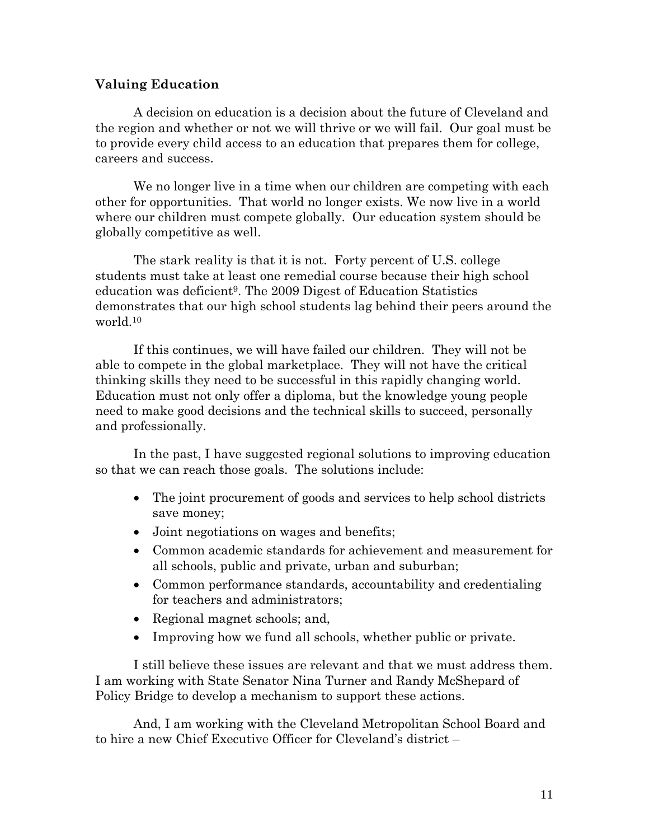# **Valuing Education**

A decision on education is a decision about the future of Cleveland and the region and whether or not we will thrive or we will fail. Our goal must be to provide every child access to an education that prepares them for college, careers and success.

We no longer live in a time when our children are competing with each other for opportunities. That world no longer exists. We now live in a world where our children must compete globally. Our education system should be globally competitive as well.

The stark reality is that it is not. Forty percent of U.S. college students must take at least one remedial course because their high school education was deficient9. The 2009 Digest of Education Statistics demonstrates that our high school students lag behind their peers around the world.10

If this continues, we will have failed our children. They will not be able to compete in the global marketplace. They will not have the critical thinking skills they need to be successful in this rapidly changing world. Education must not only offer a diploma, but the knowledge young people need to make good decisions and the technical skills to succeed, personally and professionally.

In the past, I have suggested regional solutions to improving education so that we can reach those goals. The solutions include:

- The joint procurement of goods and services to help school districts save money;
- Joint negotiations on wages and benefits;
- Common academic standards for achievement and measurement for all schools, public and private, urban and suburban;
- Common performance standards, accountability and credentialing for teachers and administrators;
- Regional magnet schools; and,
- Improving how we fund all schools, whether public or private.

I still believe these issues are relevant and that we must address them. I am working with State Senator Nina Turner and Randy McShepard of Policy Bridge to develop a mechanism to support these actions.

And, I am working with the Cleveland Metropolitan School Board and to hire a new Chief Executive Officer for Cleveland's district –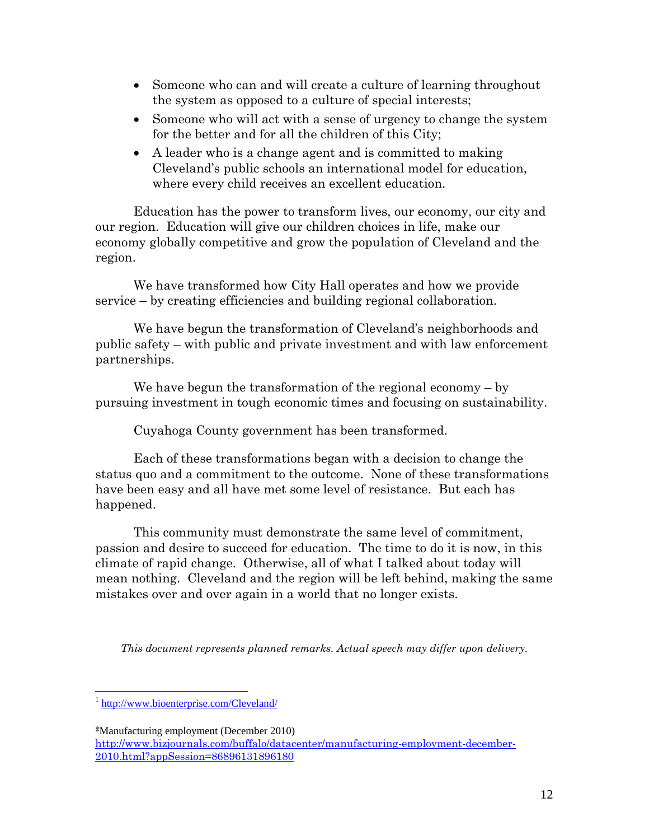- Someone who can and will create a culture of learning throughout the system as opposed to a culture of special interests;
- Someone who will act with a sense of urgency to change the system for the better and for all the children of this City;
- A leader who is a change agent and is committed to making Cleveland's public schools an international model for education, where every child receives an excellent education.

Education has the power to transform lives, our economy, our city and our region. Education will give our children choices in life, make our economy globally competitive and grow the population of Cleveland and the region.

We have transformed how City Hall operates and how we provide service – by creating efficiencies and building regional collaboration.

We have begun the transformation of Cleveland's neighborhoods and public safety – with public and private investment and with law enforcement partnerships.

We have begun the transformation of the regional economy – by pursuing investment in tough economic times and focusing on sustainability.

Cuyahoga County government has been transformed.

Each of these transformations began with a decision to change the status quo and a commitment to the outcome. None of these transformations have been easy and all have met some level of resistance. But each has happened.

This community must demonstrate the same level of commitment, passion and desire to succeed for education. The time to do it is now, in this climate of rapid change. Otherwise, all of what I talked about today will mean nothing. Cleveland and the region will be left behind, making the same mistakes over and over again in a world that no longer exists.

*This document represents planned remarks. Actual speech may differ upon delivery.* 

 $\overline{a}$ 

<sup>&</sup>lt;sup>1</sup> http://www.bioenterprise.com/Cleveland/

**<sup>2</sup>**Manufacturing employment (December 2010)

http://www.bizjournals.com/buffalo/datacenter/manufacturing-employment-december-2010.html?appSession=86896131896180